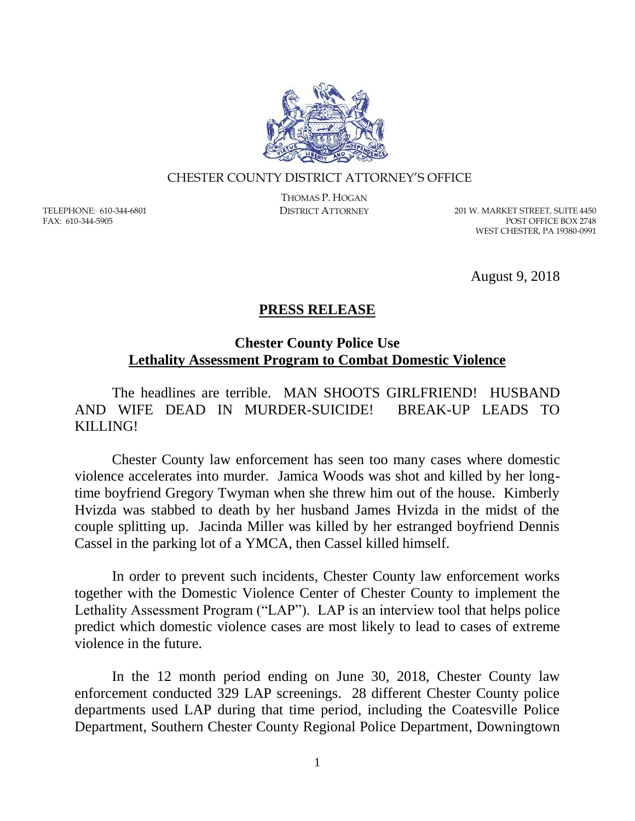

## CHESTER COUNTY DISTRICT ATTORNEY'S OFFICE

TELEPHONE: 610-344-6801 FAX: 610-344-5905

THOMAS P. HOGAN

DISTRICT ATTORNEY 201 W. MARKET STREET, SUITE 4450 POST OFFICE BOX 2748 WEST CHESTER, PA 19380-0991

August 9, 2018

## **PRESS RELEASE**

## **Chester County Police Use Lethality Assessment Program to Combat Domestic Violence**

The headlines are terrible. MAN SHOOTS GIRLFRIEND! HUSBAND AND WIFE DEAD IN MURDER-SUICIDE! BREAK-UP LEADS TO KILLING!

Chester County law enforcement has seen too many cases where domestic violence accelerates into murder. Jamica Woods was shot and killed by her longtime boyfriend Gregory Twyman when she threw him out of the house. Kimberly Hvizda was stabbed to death by her husband James Hvizda in the midst of the couple splitting up. Jacinda Miller was killed by her estranged boyfriend Dennis Cassel in the parking lot of a YMCA, then Cassel killed himself.

In order to prevent such incidents, Chester County law enforcement works together with the Domestic Violence Center of Chester County to implement the Lethality Assessment Program ("LAP"). LAP is an interview tool that helps police predict which domestic violence cases are most likely to lead to cases of extreme violence in the future.

In the 12 month period ending on June 30, 2018, Chester County law enforcement conducted 329 LAP screenings. 28 different Chester County police departments used LAP during that time period, including the Coatesville Police Department, Southern Chester County Regional Police Department, Downingtown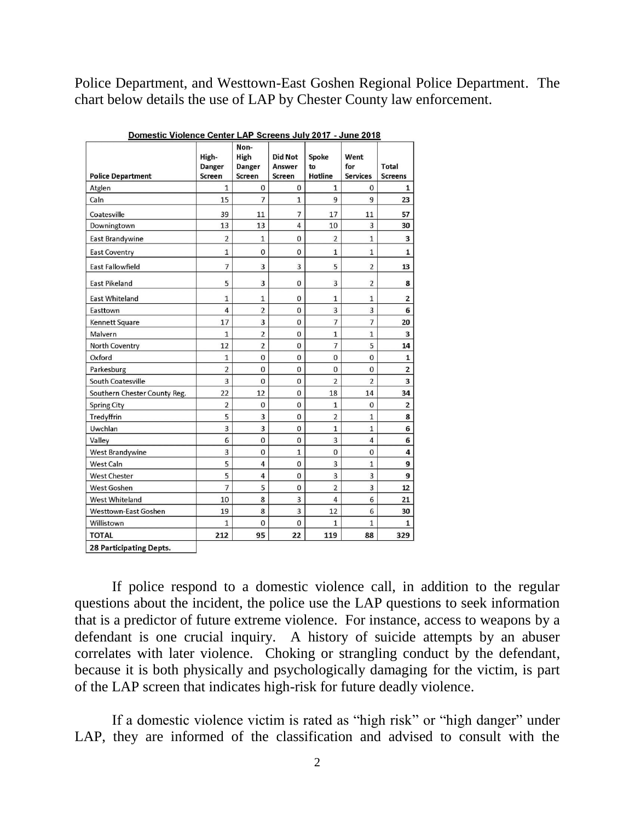Police Department, and Westtown-East Goshen Regional Police Department. The chart below details the use of LAP by Chester County law enforcement.

| <b>Police Department</b>     | High-<br><b>Danger</b><br><b>Screen</b> | Non-<br>High<br>Danger<br>Screen | <b>Did Not</b><br>Answer<br><b>Screen</b> | Spoke<br>to<br><b>Hotline</b> | Went<br>for<br><b>Services</b> | <b>Total</b><br><b>Screens</b> |
|------------------------------|-----------------------------------------|----------------------------------|-------------------------------------------|-------------------------------|--------------------------------|--------------------------------|
| Atglen                       | $\mathbf{1}$                            | $\mathbf 0$                      | $\bf{0}$                                  | $\mathbf{1}$                  | 0                              | $\mathbf{1}$                   |
| Caln                         | 15                                      | $\overline{7}$                   | $\mathbf{1}$                              | 9                             | 9                              | 23                             |
| Coatesville                  | 39                                      | 11                               | 7                                         | 17                            | 11                             | 57                             |
| Downingtown                  | 13                                      | 13                               | $\overline{4}$                            | 10                            | 3                              | 30                             |
| <b>East Brandywine</b>       | $\overline{2}$                          | $\mathbf{1}$                     | 0                                         | $\overline{2}$                | $\mathbf{1}$                   | 3                              |
| <b>East Coventry</b>         | $\mathbf{1}$                            | 0                                | $\mathbf 0$                               | $\mathbf{1}$                  | $\mathbf{1}$                   | $\mathbf{1}$                   |
| East Fallowfield             | $\overline{7}$                          | $\overline{3}$                   | $\overline{3}$                            | 5                             | $\overline{2}$                 | 13                             |
| <b>East Pikeland</b>         | 5                                       | 3                                | $\bf{0}$                                  | 3                             | $\overline{2}$                 | 8                              |
| <b>East Whiteland</b>        | 1                                       | $\mathbf{1}$                     | $\mathbf{0}$                              | $\mathbf{1}$                  | $\mathbf{1}$                   | $\overline{2}$                 |
| Easttown                     | $\overline{4}$                          | $\overline{2}$                   | $\bf{0}$                                  | 3                             | 3                              | 6                              |
| Kennett Square               | 17                                      | 3                                | $\mathbf{0}$                              | $\overline{7}$                | $\overline{7}$                 | 20                             |
| Malvern                      | $\mathbf{1}$                            | $\overline{2}$                   | 0                                         | $\mathbf{1}$                  | $\mathbf{1}$                   | 3                              |
| North Coventry               | 12                                      | $\overline{2}$                   | $\bf{0}$                                  | $\overline{7}$                | 5                              | 14                             |
| Oxford                       | $\mathbf{1}$                            | $\mathbf 0$                      | $\bf{0}$                                  | $\bf{0}$                      | $\mathbf{0}$                   | $\mathbf{1}$                   |
| Parkesburg                   | $\overline{2}$                          | $\mathbf 0$                      | $\mathbf 0$                               | $\mathbf{0}$                  | $\mathbf 0$                    | $\overline{\mathbf{c}}$        |
| South Coatesville            | 3                                       | $\overline{0}$                   | $\bf{0}$                                  | $\overline{2}$                | $\overline{2}$                 | $\overline{\mathbf{3}}$        |
| Southern Chester County Reg. | 22                                      | 12                               | $\mathbf 0$                               | 18                            | 14                             | 34                             |
| <b>Spring City</b>           | $\overline{2}$                          | 0                                | $\mathbf{0}$                              | $\mathbf{1}$                  | $\overline{0}$                 | $\overline{2}$                 |
| Tredyffrin                   | 5                                       | 3                                | $\bf{0}$                                  | $\overline{2}$                | $\mathbf{1}$                   | 8                              |
| Uwchlan                      | 3                                       | 3                                | $\mathbf{0}$                              | $\mathbf{1}$                  | $\mathbf{1}$                   | 6                              |
| Valley                       | 6                                       | $\mathbf{0}$                     | $\mathbf{0}$                              | $\overline{3}$                | $\overline{4}$                 | 6                              |
| West Brandywine              | 3                                       | $\overline{0}$                   | $\mathbf{1}$                              | $\mathbf{0}$                  | $\overline{0}$                 | 4                              |
| <b>West Caln</b>             | 5                                       | 4                                | $\mathbf 0$                               | $\overline{3}$                | $\mathbf{1}$                   | 9                              |
| <b>West Chester</b>          | 5                                       | $\overline{4}$                   | $\mathbf{0}$                              | 3                             | 3                              | 9                              |
| <b>West Goshen</b>           | $\overline{7}$                          | 5                                | $\mathbf{0}$                              | $\overline{2}$                | $\overline{3}$                 | 12                             |
| <b>West Whiteland</b>        | 10                                      | 8                                | $\overline{3}$                            | $\overline{4}$                | 6                              | 21                             |
| <b>Westtown-East Goshen</b>  | 19                                      | 8                                | 3                                         | 12                            | 6                              | 30                             |
| Willistown                   | $\mathbf{1}$                            | $\mathbf{0}$                     | $\mathbf{0}$                              | $\overline{1}$                | $\mathbf{1}$                   | $\mathbf{1}$                   |
| <b>TOTAL</b>                 | 212                                     | 95                               | 22                                        | 119                           | 88                             | 329                            |
| 28 Participating Depts.      |                                         |                                  |                                           |                               |                                |                                |

Domestic Violence Center LAP Screens July 2017 - June 2018

If police respond to a domestic violence call, in addition to the regular questions about the incident, the police use the LAP questions to seek information that is a predictor of future extreme violence. For instance, access to weapons by a defendant is one crucial inquiry. A history of suicide attempts by an abuser correlates with later violence. Choking or strangling conduct by the defendant, because it is both physically and psychologically damaging for the victim, is part of the LAP screen that indicates high-risk for future deadly violence.

If a domestic violence victim is rated as "high risk" or "high danger" under LAP, they are informed of the classification and advised to consult with the